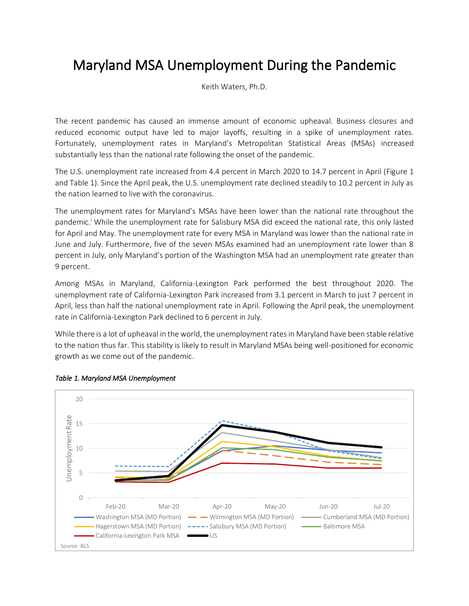## Maryland MSA Unemployment During the Pandemic

Keith Waters, Ph.D.

The recent pandemic has caused an immense amount of economic upheaval. Business closures and reduced economic output have led to major layoffs, resulting in a spike of unemployment rates. Fortunately, unemployment rates in Maryland's Metropolitan Statistical Areas (MSAs) increased substantially less than the national rate following the onset of the pandemic.

The U.S. unemployment rate increased from 4.4 percent in March 2020 to 14.7 percent in April (Figure 1 and Table 1). Since the April peak, the U.S. unemployment rate declined steadily to 10.2 percent in July as the nation learned to live with the coronavirus.

The unemployment rates for Maryland's MSAs have been lower than the national rate throughout the pandemic.<sup>I</sup> While the unemployment rate for Salisbury MSA did exceed the national rate, this only lasted for April and May. The unemployment rate for every MSA in Maryland was lower than the national rate in June and July. Furthermore, five of the seven MSAs examined had an unemployment rate lower than 8 percent in July, only Maryland's portion of the Washington MSA had an unemployment rate greater than 9 percent.

Among MSAs in Maryland, California-Lexington Park performed the best throughout 2020. The unemployment rate of California-Lexington Park increased from 3.1 percent in March to just 7 percent in April, less than half the national unemployment rate in April. Following the April peak, the unemployment rate in California-Lexington Park declined to 6 percent in July.

While there is a lot of upheaval in the world, the unemployment rates in Maryland have been stable relative to the nation thus far. This stability is likely to result in Maryland MSAs being well-positioned for economic growth as we come out of the pandemic.



## *Table 1. Maryland MSA Unemployment*